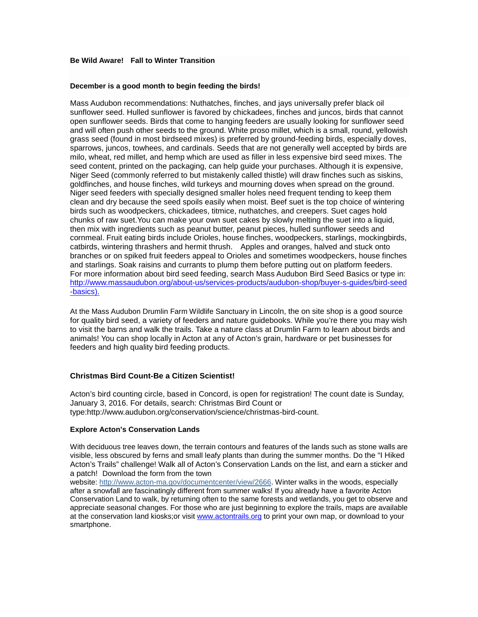# **Be Wild Aware! Fall to Winter Transition**

# **December is a good month to begin feeding the birds!**

Mass Audubon recommendations: Nuthatches, finches, and jays universally prefer black oil sunflower seed. Hulled sunflower is favored by chickadees, finches and juncos, birds that cannot open sunflower seeds. Birds that come to hanging feeders are usually looking for sunflower seed and will often push other seeds to the ground. White proso millet, which is a small, round, yellowish grass seed (found in most birdseed mixes) is preferred by ground-feeding birds, especially doves, sparrows, juncos, towhees, and cardinals. Seeds that are not generally well accepted by birds are milo, wheat, red millet, and hemp which are used as filler in less expensive bird seed mixes. The seed content, printed on the packaging, can help guide your purchases. Although it is expensive, Niger Seed (commonly referred to but mistakenly called thistle) will draw finches such as siskins, goldfinches, and house finches, wild turkeys and mourning doves when spread on the ground. Niger seed feeders with specially designed smaller holes need frequent tending to keep them clean and dry because the seed spoils easily when moist. Beef suet is the top choice of wintering birds such as woodpeckers, chickadees, titmice, nuthatches, and creepers. Suet cages hold chunks of raw suet.You can make your own suet cakes by slowly melting the suet into a liquid, then mix with ingredients such as peanut butter, peanut pieces, hulled sunflower seeds and cornmeal. Fruit eating birds include Orioles, house finches, woodpeckers, starlings, mockingbirds, catbirds, wintering thrashers and hermit thrush. Apples and oranges, halved and stuck onto branches or on spiked fruit feeders appeal to Orioles and sometimes woodpeckers, house finches and starlings. Soak raisins and currants to plump them before putting out on platform feeders. For more information about bird seed feeding, search Mass Audubon Bird Seed Basics or type in: [http://www.massaudubon.org/about-us/services-products/audubon-shop/buyer-s-guides/bird-seed](http://www.massaudubon.org/about-us/services-products/audubon-shop/buyer-s-guides/bird-seed-basics).) [-basics\).](http://www.massaudubon.org/about-us/services-products/audubon-shop/buyer-s-guides/bird-seed-basics).)

At the Mass Audubon Drumlin Farm Wildlife Sanctuary in Lincoln, the on site shop is a good source for quality bird seed, a variety of feeders and nature guidebooks. While you're there you may wish to visit the barns and walk the trails. Take a nature class at Drumlin Farm to learn about birds and animals! You can shop locally in Acton at any of Acton's grain, hardware or pet businesses for feeders and high quality bird feeding products.

# **Christmas Bird Count-Be a Citizen Scientist!**

Acton's bird counting circle, based in Concord, is open for registration! The count date is Sunday, January 3, 2016. For details, search: Christmas Bird Count or type:http://www.audubon.org/conservation/science/christmas-bird-count.

#### **Explore Acton's Conservation Lands**

With deciduous tree leaves down, the terrain contours and features of the lands such as stone walls are visible, less obscured by ferns and small leafy plants than during the summer months. Do the "I Hiked Acton's Trails" challenge! Walk all of Acton's Conservation Lands on the list, and earn a sticker and a patch! Download the form from the town

website: [http://www.acton-ma.gov/documentcenter/view/2666.](http://www.acton-ma.gov/documentcenter/view/2666) Winter walks in the woods, especially after a snowfall are fascinatingly different from summer walks! If you already have a favorite Acton Conservation Land to walk, by returning often to the same forests and wetlands, you get to observe and appreciate seasonal changes. For those who are just beginning to explore the trails, maps are available at the conservation land kiosks;or visit [www.actontrails.org](http://www.actontrails.org/) to print your own map, or download to your smartphone.